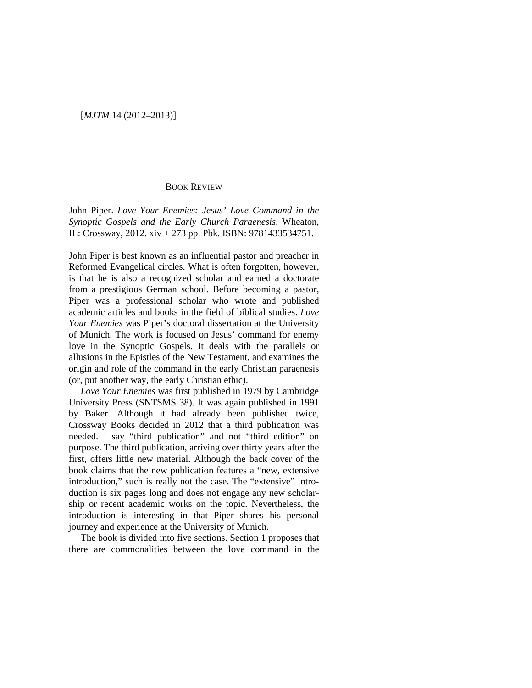## [*MJTM* 14 (2012–2013)]

## BOOK REVIEW

John Piper. *Love Your Enemies: Jesus' Love Command in the Synoptic Gospels and the Early Church Paraenesis*. Wheaton, IL: Crossway, 2012. xiv + 273 pp. Pbk. ISBN: 9781433534751.

John Piper is best known as an influential pastor and preacher in Reformed Evangelical circles. What is often forgotten, however, is that he is also a recognized scholar and earned a doctorate from a prestigious German school. Before becoming a pastor, Piper was a professional scholar who wrote and published academic articles and books in the field of biblical studies. *Love Your Enemies* was Piper's doctoral dissertation at the University of Munich. The work is focused on Jesus' command for enemy love in the Synoptic Gospels. It deals with the parallels or allusions in the Epistles of the New Testament, and examines the origin and role of the command in the early Christian paraenesis (or, put another way, the early Christian ethic).

*Love Your Enemies* was first published in 1979 by Cambridge University Press (SNTSMS 38). It was again published in 1991 by Baker. Although it had already been published twice, Crossway Books decided in 2012 that a third publication was needed. I say "third publication" and not "third edition" on purpose. The third publication, arriving over thirty years after the first, offers little new material. Although the back cover of the book claims that the new publication features a "new, extensive introduction," such is really not the case. The "extensive" introduction is six pages long and does not engage any new scholarship or recent academic works on the topic. Nevertheless, the introduction is interesting in that Piper shares his personal journey and experience at the University of Munich.

The book is divided into five sections. Section 1 proposes that there are commonalities between the love command in the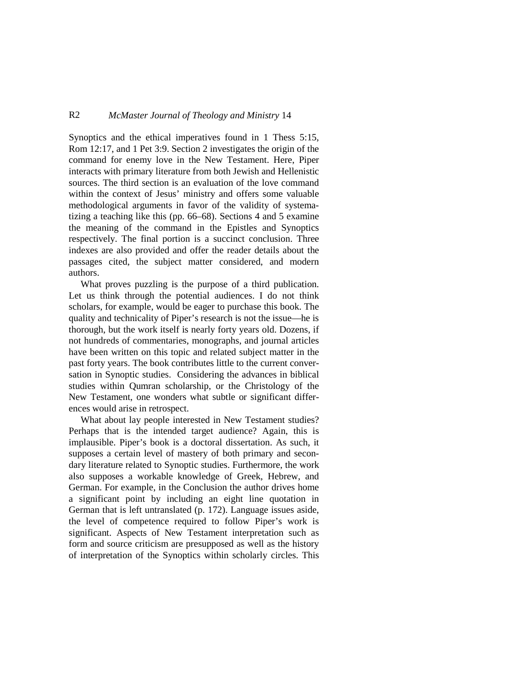## R2 *McMaster Journal of Theology and Ministry* 14

Synoptics and the ethical imperatives found in 1 Thess 5:15, Rom 12:17, and 1 Pet 3:9. Section 2 investigates the origin of the command for enemy love in the New Testament. Here, Piper interacts with primary literature from both Jewish and Hellenistic sources. The third section is an evaluation of the love command within the context of Jesus' ministry and offers some valuable methodological arguments in favor of the validity of systematizing a teaching like this (pp. 66–68). Sections 4 and 5 examine the meaning of the command in the Epistles and Synoptics respectively. The final portion is a succinct conclusion. Three indexes are also provided and offer the reader details about the passages cited, the subject matter considered, and modern authors.

What proves puzzling is the purpose of a third publication. Let us think through the potential audiences. I do not think scholars, for example, would be eager to purchase this book. The quality and technicality of Piper's research is not the issue—he is thorough, but the work itself is nearly forty years old. Dozens, if not hundreds of commentaries, monographs, and journal articles have been written on this topic and related subject matter in the past forty years. The book contributes little to the current conversation in Synoptic studies. Considering the advances in biblical studies within Qumran scholarship, or the Christology of the New Testament, one wonders what subtle or significant differences would arise in retrospect.

What about lay people interested in New Testament studies? Perhaps that is the intended target audience? Again, this is implausible. Piper's book is a doctoral dissertation. As such, it supposes a certain level of mastery of both primary and secondary literature related to Synoptic studies. Furthermore, the work also supposes a workable knowledge of Greek, Hebrew, and German. For example, in the Conclusion the author drives home a significant point by including an eight line quotation in German that is left untranslated (p. 172). Language issues aside, the level of competence required to follow Piper's work is significant. Aspects of New Testament interpretation such as form and source criticism are presupposed as well as the history of interpretation of the Synoptics within scholarly circles. This